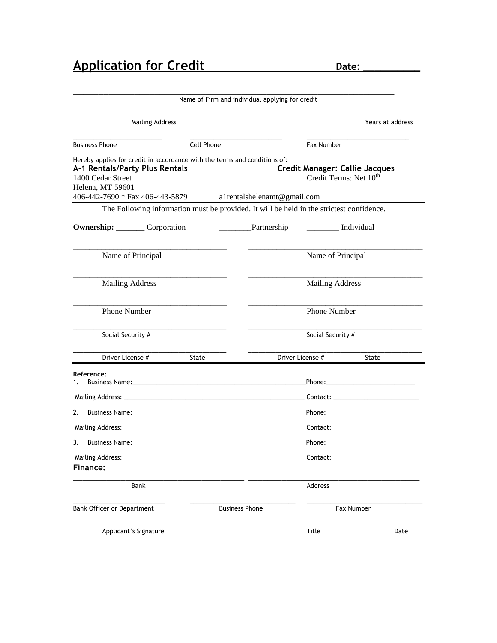|                                                                                                                                                                                                                                           | Name of Firm and individual applying for credit |                             |                                    |                                       |
|-------------------------------------------------------------------------------------------------------------------------------------------------------------------------------------------------------------------------------------------|-------------------------------------------------|-----------------------------|------------------------------------|---------------------------------------|
| <b>Mailing Address</b>                                                                                                                                                                                                                    |                                                 |                             |                                    | Years at address                      |
| <b>Business Phone</b>                                                                                                                                                                                                                     | Cell Phone                                      |                             | Fax Number                         |                                       |
| Hereby applies for credit in accordance with the terms and conditions of:<br>A-1 Rentals/Party Plus Rentals<br>1400 Cedar Street<br>Helena, MT 59601<br>406-442-7690 * Fax 406-443-5879                                                   |                                                 | a1rentalshelenamt@gmail.com | Credit Terms: Net 10 <sup>th</sup> | <b>Credit Manager: Callie Jacques</b> |
| The Following information must be provided. It will be held in the strictest confidence.                                                                                                                                                  |                                                 |                             |                                    |                                       |
| <b>Ownership:</b> Corporation                                                                                                                                                                                                             |                                                 | Partnership                 | _____________ Individual           |                                       |
| Name of Principal                                                                                                                                                                                                                         |                                                 |                             | Name of Principal                  |                                       |
| <b>Mailing Address</b>                                                                                                                                                                                                                    |                                                 |                             | <b>Mailing Address</b>             |                                       |
| <b>Phone Number</b>                                                                                                                                                                                                                       |                                                 |                             | Phone Number                       |                                       |
| Social Security #                                                                                                                                                                                                                         |                                                 |                             | Social Security #                  |                                       |
| Driver License #                                                                                                                                                                                                                          | State                                           |                             | Driver License #                   | State                                 |
| Reference:<br>1.                                                                                                                                                                                                                          |                                                 |                             |                                    |                                       |
|                                                                                                                                                                                                                                           |                                                 |                             |                                    |                                       |
| 2.<br>Business Name: <u>Alexander Communication</u> Communication Communication Communication Communication Communication Communication Communication Communication Communication Communication Communication Communication Communication |                                                 |                             |                                    |                                       |
|                                                                                                                                                                                                                                           |                                                 |                             |                                    |                                       |
| 3.                                                                                                                                                                                                                                        |                                                 |                             |                                    |                                       |
| <b>Mailing Address:</b>                                                                                                                                                                                                                   |                                                 |                             | Contact:                           |                                       |
| Finance:                                                                                                                                                                                                                                  |                                                 |                             |                                    |                                       |
| Bank                                                                                                                                                                                                                                      |                                                 |                             | <b>Address</b>                     |                                       |
| Bank Officer or Department<br><b>Business Phone</b>                                                                                                                                                                                       |                                                 |                             |                                    | Fax Number                            |
| Applicant's Signature                                                                                                                                                                                                                     |                                                 |                             | <b>Title</b>                       | Date                                  |